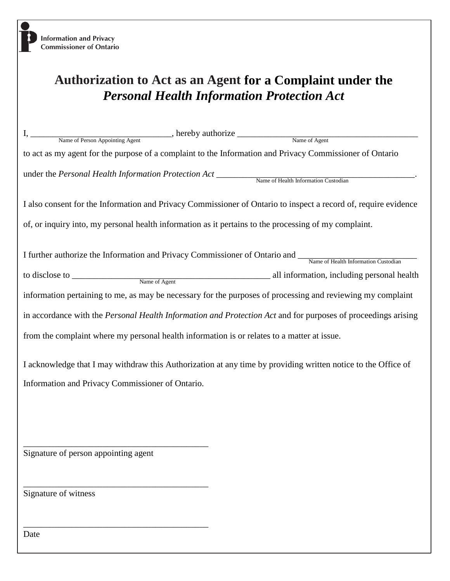## **Authorization to Act as an Agent for a Complaint under the** *Personal Health Information Protection Act*

| I, Name of Person Appointing Agent hereby authorize Name of Agent                                                                                                 |
|-------------------------------------------------------------------------------------------------------------------------------------------------------------------|
| to act as my agent for the purpose of a complaint to the Information and Privacy Commissioner of Ontario                                                          |
| under the Personal Health Information Protection Act Name of Health Information Custodian                                                                         |
| I also consent for the Information and Privacy Commissioner of Ontario to inspect a record of, require evidence                                                   |
| of, or inquiry into, my personal health information as it pertains to the processing of my complaint.                                                             |
| I further authorize the Information and Privacy Commissioner of Ontario and Name of Health Information Custodian                                                  |
| information pertaining to me, as may be necessary for the purposes of processing and reviewing my complaint                                                       |
| in accordance with the Personal Health Information and Protection Act and for purposes of proceedings arising                                                     |
| from the complaint where my personal health information is or relates to a matter at issue.                                                                       |
| I acknowledge that I may withdraw this Authorization at any time by providing written notice to the Office of<br>Information and Privacy Commissioner of Ontario. |
|                                                                                                                                                                   |
| Signature of person appointing agent                                                                                                                              |
| Signature of witness                                                                                                                                              |
| Date                                                                                                                                                              |